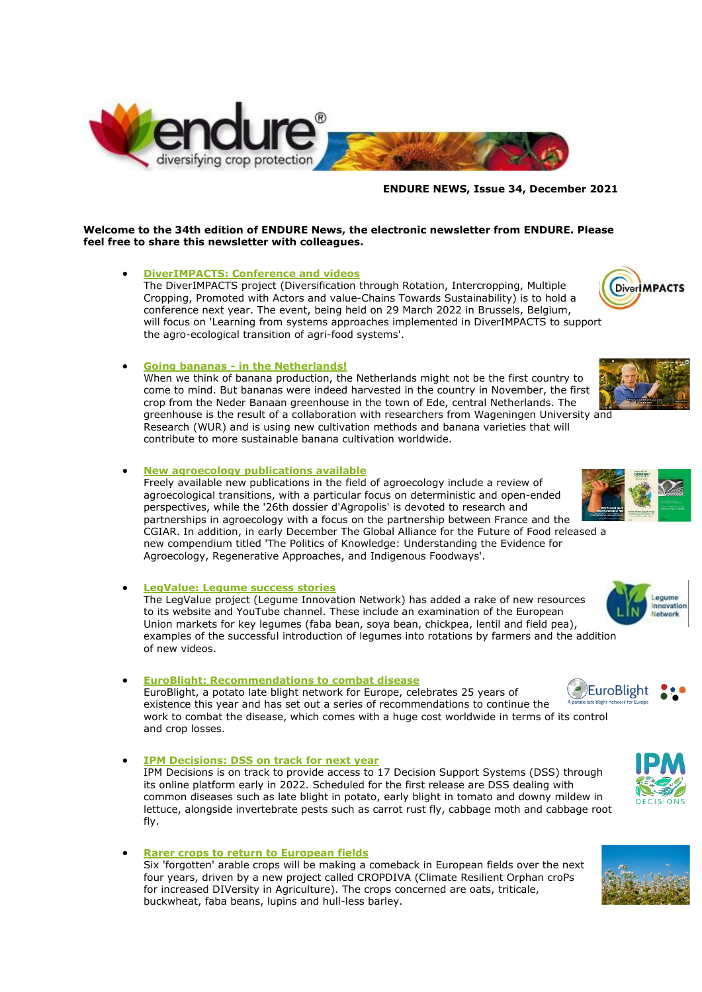

#### **ENDURE NEWS, Issue 34, December 2021**

#### **Welcome to the 34th edition of ENDURE News, the electronic newsletter from ENDURE. Please feel free to share this newsletter with colleagues.**

#### • **[DiverIMPACTS: Conference and videos](http://www.endure-network.eu/about_endure/all_the_news/diverimpacts_conference_and_videos)**

The DiverIMPACTS project (Diversification through Rotation, Intercropping, Multiple Cropping, Promoted with Actors and value-Chains Towards Sustainability) is to hold a conference next year. The event, being held on 29 March 2022 in Brussels, Belgium, will focus on 'Learning from systems approaches implemented in DiverIMPACTS to support the agro-ecological transition of agri-food systems'.

## • **Going bananas - [in the Netherlands!](http://www.endure-network.eu/about_endure/all_the_news/going_bananas_in_the_netherlands)**

When we think of banana production, the Netherlands might not be the first country to come to mind. But bananas were indeed harvested in the country in November, the first crop from the Neder Banaan greenhouse in the town of Ede, central Netherlands. The greenhouse is the result of a collaboration with researchers from Wageningen University and Research (WUR) and is using new cultivation methods and banana varieties that will contribute to more sustainable banana cultivation worldwide.

#### • **[New agroecology publications available](http://www.endure-network.eu/about_endure/all_the_news/new_agroecology_publications_available)**

Freely available new publications in the field of agroecology include a review of agroecological transitions, with a particular focus on deterministic and open-ended perspectives, while the '26th dossier d'Agropolis' is devoted to research and partnerships in agroecology with a focus on the partnership between France and the CGIAR. In addition, in early December The Global Alliance for the Future of Food released a new compendium titled 'The Politics of Knowledge: Understanding the Evidence for Agroecology, Regenerative Approaches, and Indigenous Foodways'.

#### • **[LegValue: Legume success stories](http://www.endure-network.eu/about_endure/all_the_news/legvalue_legume_success_stories)**

The LegValue project (Legume Innovation Network) has added a rake of new resources to its website and YouTube channel. These include an examination of the European Union markets for key legumes (faba bean, soya bean, chickpea, lentil and field pea), examples of the successful introduction of legumes into rotations by farmers and the addition of new videos.

#### • **[EuroBlight: Recommendations to combat disease](http://www.endure-network.eu/about_endure/all_the_news/euroblight_recommendations_to_combat_disease)**

EuroBlight, a potato late blight network for Europe, celebrates 25 years of existence this year and has set out a series of recommendations to continue the work to combat the disease, which comes with a huge cost worldwide in terms of its control and crop losses.

- **[IPM Decisions: DSS on track for next year](http://www.endure-network.eu/about_endure/all_the_news/ipm_decisions_dss_on_track_for_next_year)** IPM Decisions is on track to provide access to 17 Decision Support Systems (DSS) through its online platform early in 2022. Scheduled for the first release are DSS dealing with common diseases such as late blight in potato, early blight in tomato and downy mildew in lettuce, alongside invertebrate pests such as carrot rust fly, cabbage moth and cabbage root fly.
- **[Rarer crops to return to European fields](http://www.endure-network.eu/about_endure/all_the_news/rarer_crops_to_return_to_european_fields)** Six 'forgotten' arable crops will be making a comeback in European fields over the next four years, driven by a new project called CROPDIVA (Climate Resilient Orphan croPs for increased DIVersity in Agriculture). The crops concerned are oats, triticale, buckwheat, faba beans, lupins and hull-less barley.



**DiverIMPACTS** 











Innovation Network

Legume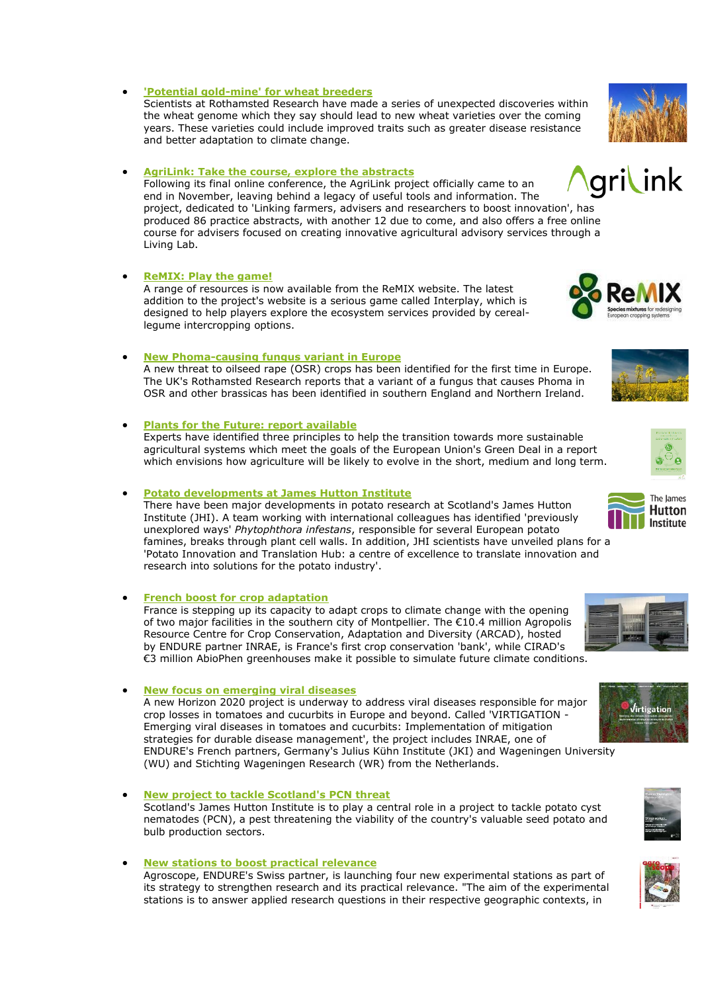Scientists at Rothamsted Research have made a series of unexpected discoveries within

the wheat genome which they say should lead to new wheat varieties over the coming years. These varieties could include improved traits such as greater disease resistance and better adaptation to climate change.

## • **[AgriLink: Take the course, explore the abstracts](http://www.endure-network.eu/about_endure/all_the_news/agrilink_take_the_course_explore_the_abstracts)**

Following its final online conference, the AgriLink project officially came to an end in November, leaving behind a legacy of useful tools and information. The project, dedicated to 'Linking farmers, advisers and researchers to boost innovation', has produced 86 practice abstracts, with another 12 due to come, and also offers a free online course for advisers focused on creating innovative agricultural advisory services through a Living Lab.

## • **[ReMIX: Play the game!](http://www.endure-network.eu/about_endure/all_the_news/remix_play_the_game)**

A range of resources is now available from the ReMIX website. The latest addition to the project's website is a serious game called Interplay, which is designed to help players explore the ecosystem services provided by cereallegume intercropping options.

## • **[New Phoma-causing fungus variant in Europe](http://www.endure-network.eu/about_endure/all_the_news/new_phoma_causing_fungus_variant_in_europe)**

A new threat to oilseed rape (OSR) crops has been identified for the first time in Europe. The UK's Rothamsted Research reports that a variant of a fungus that causes Phoma in OSR and other brassicas has been identified in southern England and Northern Ireland.

## • **[Plants for the Future: report available](http://www.endure-network.eu/about_endure/all_the_news/plants_for_the_future_report_available)**

Experts have identified three principles to help the transition towards more sustainable agricultural systems which meet the goals of the European Union's Green Deal in a report which envisions how agriculture will be likely to evolve in the short, medium and long term.

## • **[Potato developments at James Hutton Institute](http://www.endure-network.eu/about_endure/all_the_news/potato_developments_at_james_hutton_institute)**

There have been major developments in potato research at Scotland's James Hutton Institute (JHI). A team working with international colleagues has identified 'previously unexplored ways' *Phytophthora infestans*, responsible for several European potato famines, breaks through plant cell walls. In addition, JHI scientists have unveiled plans for a 'Potato Innovation and Translation Hub: a centre of excellence to translate innovation and research into solutions for the potato industry'.

## • **[French boost for crop adaptation](http://www.endure-network.eu/about_endure/all_the_news/french_boost_for_crop_adaptation)**

France is stepping up its capacity to adapt crops to climate change with the opening of two major facilities in the southern city of Montpellier. The €10.4 million Agropolis Resource Centre for Crop Conservation, Adaptation and Diversity (ARCAD), hosted by ENDURE partner INRAE, is France's first crop conservation 'bank', while CIRAD's €3 million AbioPhen greenhouses make it possible to simulate future climate conditions.

## • **[New focus on emerging viral diseases](http://www.endure-network.eu/about_endure/all_the_news/new_focus_on_emerging_viral_diseases)**

A new Horizon 2020 project is underway to address viral diseases responsible for major crop losses in tomatoes and cucurbits in Europe and beyond. Called 'VIRTIGATION - Emerging viral diseases in tomatoes and cucurbits: Implementation of mitigation strategies for durable disease management', the project includes INRAE, one of ENDURE's French partners, Germany's Julius Kühn Institute (JKI) and Wageningen University (WU) and Stichting Wageningen Research (WR) from the Netherlands.

• **[New project to tackle Scotland's PCN threat](http://www.endure-network.eu/about_endure/all_the_news/new_project_to_tackle_scotland_s_pcn_threat)** Scotland's James Hutton Institute is to play a central role in a project to tackle potato cyst nematodes (PCN), a pest threatening the viability of the country's valuable seed potato and bulb production sectors.

• **[New stations to boost practical relevance](http://www.endure-network.eu/about_endure/all_the_news/new_stations_to_boost_practical_relevance)** Agroscope, ENDURE's Swiss partner, is launching four new experimental stations as part of its strategy to strengthen research and its practical relevance. "The aim of the experimental stations is to answer applied research questions in their respective geographic contexts, in

# • **['Potential gold-mine' for wheat breeders](http://www.endure-network.eu/about_endure/all_the_news/potential_gold_mine_for_wheat_breeders)**













The lames